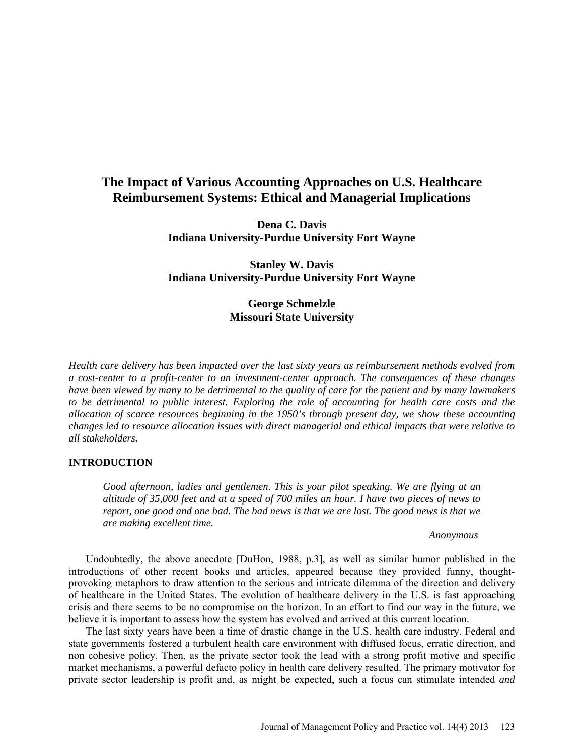# **The Impact of Various Accounting Approaches on U.S. Healthcare Reimbursement Systems: Ethical and Managerial Implications**

**Dena C. Davis Indiana University-Purdue University Fort Wayne**

**Stanley W. Davis Indiana University-Purdue University Fort Wayne**

# **George Schmelzle Missouri State University**

*Health care delivery has been impacted over the last sixty years as reimbursement methods evolved from a cost-center to a profit-center to an investment-center approach. The consequences of these changes have been viewed by many to be detrimental to the quality of care for the patient and by many lawmakers to be detrimental to public interest. Exploring the role of accounting for health care costs and the allocation of scarce resources beginning in the 1950's through present day, we show these accounting changes led to resource allocation issues with direct managerial and ethical impacts that were relative to all stakeholders.*

### **INTRODUCTION**

*Good afternoon, ladies and gentlemen. This is your pilot speaking. We are flying at an altitude of 35,000 feet and at a speed of 700 miles an hour. I have two pieces of news to report, one good and one bad. The bad news is that we are lost. The good news is that we are making excellent time.*

#### *Anonymous*

Undoubtedly, the above anecdote [DuHon, 1988, p.3], as well as similar humor published in the introductions of other recent books and articles, appeared because they provided funny, thoughtprovoking metaphors to draw attention to the serious and intricate dilemma of the direction and delivery of healthcare in the United States. The evolution of healthcare delivery in the U.S. is fast approaching crisis and there seems to be no compromise on the horizon. In an effort to find our way in the future, we believe it is important to assess how the system has evolved and arrived at this current location.

The last sixty years have been a time of drastic change in the U.S. health care industry. Federal and state governments fostered a turbulent health care environment with diffused focus, erratic direction, and non cohesive policy. Then, as the private sector took the lead with a strong profit motive and specific market mechanisms, a powerful defacto policy in health care delivery resulted. The primary motivator for private sector leadership is profit and, as might be expected, such a focus can stimulate intended *and*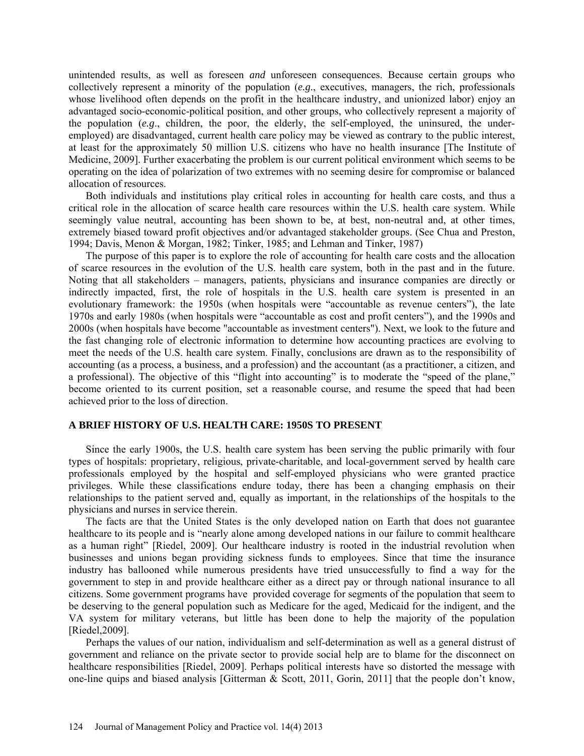unintended results, as well as foreseen *and* unforeseen consequences. Because certain groups who collectively represent a minority of the population (*e.g*., executives, managers, the rich, professionals whose livelihood often depends on the profit in the healthcare industry, and unionized labor) enjoy an advantaged socio-economic-political position, and other groups, who collectively represent a majority of the population (*e.g*., children, the poor, the elderly, the self-employed, the uninsured, the underemployed) are disadvantaged, current health care policy may be viewed as contrary to the public interest, at least for the approximately 50 million U.S. citizens who have no health insurance [The Institute of Medicine, 2009]. Further exacerbating the problem is our current political environment which seems to be operating on the idea of polarization of two extremes with no seeming desire for compromise or balanced allocation of resources.

Both individuals and institutions play critical roles in accounting for health care costs, and thus a critical role in the allocation of scarce health care resources within the U.S. health care system. While seemingly value neutral, accounting has been shown to be, at best, non-neutral and, at other times, extremely biased toward profit objectives and/or advantaged stakeholder groups. (See Chua and Preston, 1994; Davis, Menon & Morgan, 1982; Tinker, 1985; and Lehman and Tinker, 1987)

The purpose of this paper is to explore the role of accounting for health care costs and the allocation of scarce resources in the evolution of the U.S. health care system, both in the past and in the future. Noting that all stakeholders – managers, patients, physicians and insurance companies are directly or indirectly impacted, first, the role of hospitals in the U.S. health care system is presented in an evolutionary framework: the 1950s (when hospitals were "accountable as revenue centers"), the late 1970s and early 1980s (when hospitals were "accountable as cost and profit centers"), and the 1990s and 2000s (when hospitals have become "accountable as investment centers"). Next, we look to the future and the fast changing role of electronic information to determine how accounting practices are evolving to meet the needs of the U.S. health care system. Finally, conclusions are drawn as to the responsibility of accounting (as a process, a business, and a profession) and the accountant (as a practitioner, a citizen, and a professional). The objective of this "flight into accounting" is to moderate the "speed of the plane," become oriented to its current position, set a reasonable course, and resume the speed that had been achieved prior to the loss of direction.

# **A BRIEF HISTORY OF U.S. HEALTH CARE: 1950S TO PRESENT**

Since the early 1900s, the U.S. health care system has been serving the public primarily with four types of hospitals: proprietary, religious, private-charitable, and local-government served by health care professionals employed by the hospital and self-employed physicians who were granted practice privileges. While these classifications endure today, there has been a changing emphasis on their relationships to the patient served and, equally as important, in the relationships of the hospitals to the physicians and nurses in service therein.

The facts are that the United States is the only developed nation on Earth that does not guarantee healthcare to its people and is "nearly alone among developed nations in our failure to commit healthcare as a human right" [Riedel, 2009]. Our healthcare industry is rooted in the industrial revolution when businesses and unions began providing sickness funds to employees. Since that time the insurance industry has ballooned while numerous presidents have tried unsuccessfully to find a way for the government to step in and provide healthcare either as a direct pay or through national insurance to all citizens. Some government programs have provided coverage for segments of the population that seem to be deserving to the general population such as Medicare for the aged, Medicaid for the indigent, and the VA system for military veterans, but little has been done to help the majority of the population [Riedel,2009].

Perhaps the values of our nation, individualism and self-determination as well as a general distrust of government and reliance on the private sector to provide social help are to blame for the disconnect on healthcare responsibilities [Riedel, 2009]. Perhaps political interests have so distorted the message with one-line quips and biased analysis [Gitterman & Scott, 2011, Gorin, 2011] that the people don't know,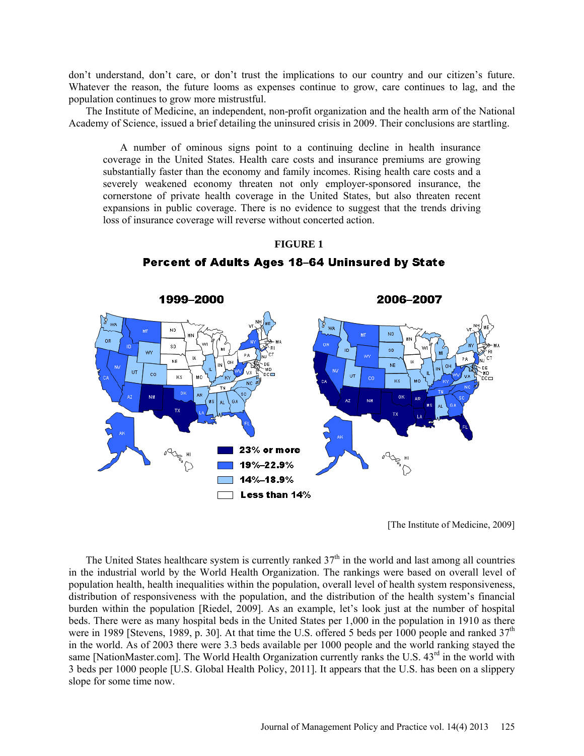don't understand, don't care, or don't trust the implications to our country and our citizen's future. Whatever the reason, the future looms as expenses continue to grow, care continues to lag, and the population continues to grow more mistrustful.

The Institute of Medicine, an independent, non-profit organization and the health arm of the National Academy of Science, issued a brief detailing the uninsured crisis in 2009. Their conclusions are startling.

A number of ominous signs point to a continuing decline in health insurance coverage in the United States. Health care costs and insurance premiums are growing substantially faster than the economy and family incomes. Rising health care costs and a severely weakened economy threaten not only employer-sponsored insurance, the cornerstone of private health coverage in the United States, but also threaten recent expansions in public coverage. There is no evidence to suggest that the trends driving loss of insurance coverage will reverse without concerted action.



**FIGURE 1**

Percent of Adults Ages 18-64 Uninsured by State

[The Institute of Medicine, 2009]

The United States healthcare system is currently ranked  $37<sup>th</sup>$  in the world and last among all countries in the industrial world by the World Health Organization. The rankings were based on overall level of population health, health inequalities within the population, overall level of health system responsiveness, distribution of responsiveness with the population, and the distribution of the health system's financial burden within the population [Riedel, 2009]. As an example, let's look just at the number of hospital beds. There were as many hospital beds in the United States per 1,000 in the population in 1910 as there were in 1989 [Stevens, 1989, p. 30]. At that time the U.S. offered 5 beds per 1000 people and ranked  $37<sup>th</sup>$ in the world. As of 2003 there were 3.3 beds available per 1000 people and the world ranking stayed the same [NationMaster.com]. The World Health Organization currently ranks the U.S. 43<sup>rd</sup> in the world with 3 beds per 1000 people [U.S. Global Health Policy, 2011]. It appears that the U.S. has been on a slippery slope for some time now.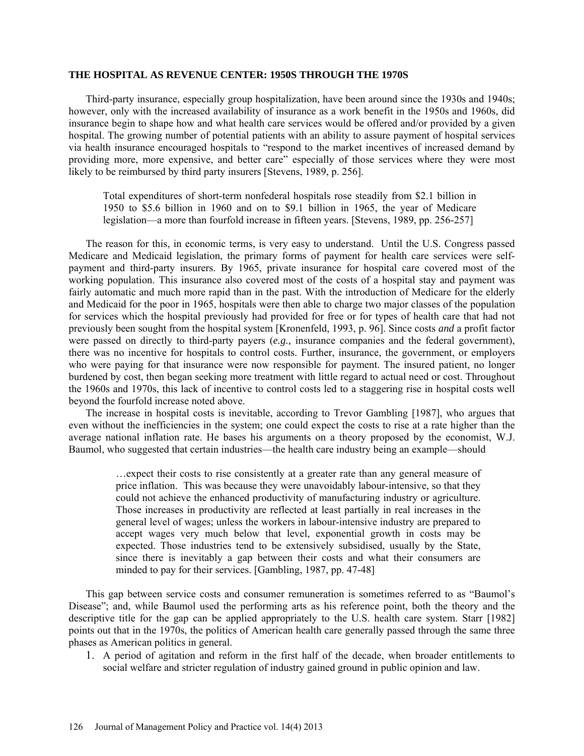#### **THE HOSPITAL AS REVENUE CENTER: 1950S THROUGH THE 1970S**

Third-party insurance, especially group hospitalization, have been around since the 1930s and 1940s; however, only with the increased availability of insurance as a work benefit in the 1950s and 1960s, did insurance begin to shape how and what health care services would be offered and/or provided by a given hospital. The growing number of potential patients with an ability to assure payment of hospital services via health insurance encouraged hospitals to "respond to the market incentives of increased demand by providing more, more expensive, and better care" especially of those services where they were most likely to be reimbursed by third party insurers [Stevens, 1989, p. 256].

Total expenditures of short-term nonfederal hospitals rose steadily from \$2.1 billion in 1950 to \$5.6 billion in 1960 and on to \$9.1 billion in 1965, the year of Medicare legislation—a more than fourfold increase in fifteen years. [Stevens, 1989, pp. 256-257]

The reason for this, in economic terms, is very easy to understand. Until the U.S. Congress passed Medicare and Medicaid legislation, the primary forms of payment for health care services were selfpayment and third-party insurers. By 1965, private insurance for hospital care covered most of the working population. This insurance also covered most of the costs of a hospital stay and payment was fairly automatic and much more rapid than in the past. With the introduction of Medicare for the elderly and Medicaid for the poor in 1965, hospitals were then able to charge two major classes of the population for services which the hospital previously had provided for free or for types of health care that had not previously been sought from the hospital system [Kronenfeld, 1993, p. 96]. Since costs *and* a profit factor were passed on directly to third-party payers (*e.g.,* insurance companies and the federal government), there was no incentive for hospitals to control costs. Further, insurance, the government, or employers who were paying for that insurance were now responsible for payment. The insured patient, no longer burdened by cost, then began seeking more treatment with little regard to actual need or cost. Throughout the 1960s and 1970s, this lack of incentive to control costs led to a staggering rise in hospital costs well beyond the fourfold increase noted above.

The increase in hospital costs is inevitable, according to Trevor Gambling [1987], who argues that even without the inefficiencies in the system; one could expect the costs to rise at a rate higher than the average national inflation rate. He bases his arguments on a theory proposed by the economist, W.J. Baumol, who suggested that certain industries—the health care industry being an example—should

> …expect their costs to rise consistently at a greater rate than any general measure of price inflation. This was because they were unavoidably labour-intensive, so that they could not achieve the enhanced productivity of manufacturing industry or agriculture. Those increases in productivity are reflected at least partially in real increases in the general level of wages; unless the workers in labour-intensive industry are prepared to accept wages very much below that level, exponential growth in costs may be expected. Those industries tend to be extensively subsidised, usually by the State, since there is inevitably a gap between their costs and what their consumers are minded to pay for their services. [Gambling, 1987, pp. 47-48]

This gap between service costs and consumer remuneration is sometimes referred to as "Baumol's Disease"; and, while Baumol used the performing arts as his reference point, both the theory and the descriptive title for the gap can be applied appropriately to the U.S. health care system. Starr [1982] points out that in the 1970s, the politics of American health care generally passed through the same three phases as American politics in general.

1. A period of agitation and reform in the first half of the decade, when broader entitlements to social welfare and stricter regulation of industry gained ground in public opinion and law.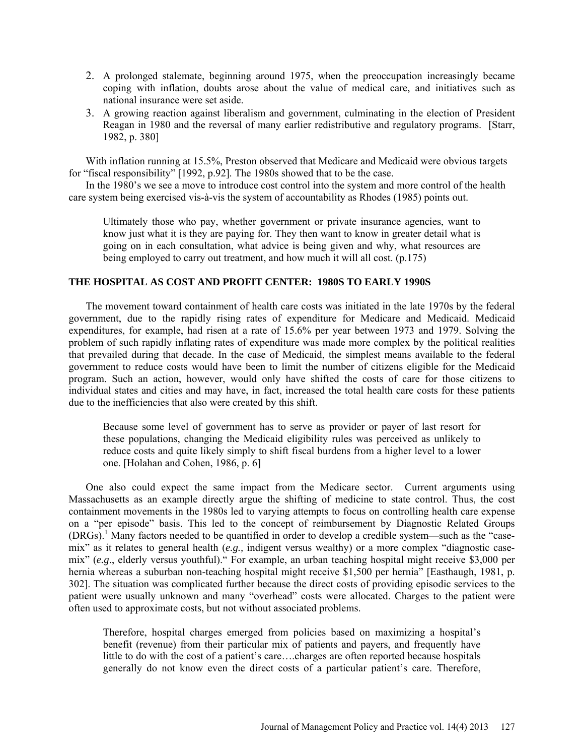- 2. A prolonged stalemate, beginning around 1975, when the preoccupation increasingly became coping with inflation, doubts arose about the value of medical care, and initiatives such as national insurance were set aside.
- 3. A growing reaction against liberalism and government, culminating in the election of President Reagan in 1980 and the reversal of many earlier redistributive and regulatory programs. [Starr, 1982, p. 380]

With inflation running at 15.5%, Preston observed that Medicare and Medicaid were obvious targets for "fiscal responsibility" [1992, p.92]. The 1980s showed that to be the case.

In the 1980's we see a move to introduce cost control into the system and more control of the health care system being exercised vis-à-vis the system of accountability as Rhodes (1985) points out.

Ultimately those who pay, whether government or private insurance agencies, want to know just what it is they are paying for. They then want to know in greater detail what is going on in each consultation, what advice is being given and why, what resources are being employed to carry out treatment, and how much it will all cost. (p.175)

### **THE HOSPITAL AS COST AND PROFIT CENTER: 1980S TO EARLY 1990S**

The movement toward containment of health care costs was initiated in the late 1970s by the federal government, due to the rapidly rising rates of expenditure for Medicare and Medicaid. Medicaid expenditures, for example, had risen at a rate of 15.6% per year between 1973 and 1979. Solving the problem of such rapidly inflating rates of expenditure was made more complex by the political realities that prevailed during that decade. In the case of Medicaid, the simplest means available to the federal government to reduce costs would have been to limit the number of citizens eligible for the Medicaid program. Such an action, however, would only have shifted the costs of care for those citizens to individual states and cities and may have, in fact, increased the total health care costs for these patients due to the inefficiencies that also were created by this shift.

Because some level of government has to serve as provider or payer of last resort for these populations, changing the Medicaid eligibility rules was perceived as unlikely to reduce costs and quite likely simply to shift fiscal burdens from a higher level to a lower one. [Holahan and Cohen, 1986, p. 6]

One also could expect the same impact from the Medicare sector. Current arguments using Massachusetts as an example directly argue the shifting of medicine to state control. Thus, the cost containment movements in the 1980s led to varying attempts to focus on controlling health care expense on a "per episode" basis. This led to the concept of reimbursement by Diagnostic Related Groups (DRGs).<sup>1</sup> Many factors needed to be quantified in order to develop a credible system—such as the "casemix" as it relates to general health (*e.g.,* indigent versus wealthy) or a more complex "diagnostic casemix" (*e.g*., elderly versus youthful)." For example, an urban teaching hospital might receive \$3,000 per hernia whereas a suburban non-teaching hospital might receive \$1,500 per hernia" [Easthaugh, 1981, p. 302]. The situation was complicated further because the direct costs of providing episodic services to the patient were usually unknown and many "overhead" costs were allocated. Charges to the patient were often used to approximate costs, but not without associated problems.

Therefore, hospital charges emerged from policies based on maximizing a hospital's benefit (revenue) from their particular mix of patients and payers, and frequently have little to do with the cost of a patient's care….charges are often reported because hospitals generally do not know even the direct costs of a particular patient's care. Therefore,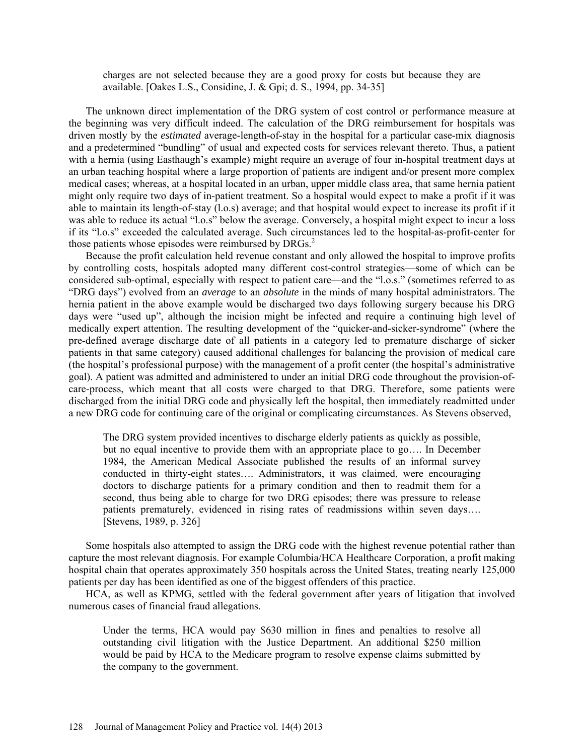charges are not selected because they are a good proxy for costs but because they are available. [Oakes L.S., Considine, J. & Gpi; d. S., 1994, pp. 34-35]

The unknown direct implementation of the DRG system of cost control or performance measure at the beginning was very difficult indeed. The calculation of the DRG reimbursement for hospitals was driven mostly by the *estimated* average-length-of-stay in the hospital for a particular case-mix diagnosis and a predetermined "bundling" of usual and expected costs for services relevant thereto. Thus, a patient with a hernia (using Easthaugh's example) might require an average of four in-hospital treatment days at an urban teaching hospital where a large proportion of patients are indigent and/or present more complex medical cases; whereas, at a hospital located in an urban, upper middle class area, that same hernia patient might only require two days of in-patient treatment. So a hospital would expect to make a profit if it was able to maintain its length-of-stay (l.o.s) average; and that hospital would expect to increase its profit if it was able to reduce its actual "l.o.s" below the average. Conversely, a hospital might expect to incur a loss if its "l.o.s" exceeded the calculated average. Such circumstances led to the hospital-as-profit-center for those patients whose episodes were reimbursed by DRGs.<sup>2</sup>

Because the profit calculation held revenue constant and only allowed the hospital to improve profits by controlling costs, hospitals adopted many different cost-control strategies—some of which can be considered sub-optimal, especially with respect to patient care—and the "l.o.s." (sometimes referred to as "DRG days") evolved from an *average* to an *absolute* in the minds of many hospital administrators. The hernia patient in the above example would be discharged two days following surgery because his DRG days were "used up", although the incision might be infected and require a continuing high level of medically expert attention. The resulting development of the "quicker-and-sicker-syndrome" (where the pre-defined average discharge date of all patients in a category led to premature discharge of sicker patients in that same category) caused additional challenges for balancing the provision of medical care (the hospital's professional purpose) with the management of a profit center (the hospital's administrative goal). A patient was admitted and administered to under an initial DRG code throughout the provision-ofcare-process, which meant that all costs were charged to that DRG. Therefore, some patients were discharged from the initial DRG code and physically left the hospital, then immediately readmitted under a new DRG code for continuing care of the original or complicating circumstances. As Stevens observed,

The DRG system provided incentives to discharge elderly patients as quickly as possible, but no equal incentive to provide them with an appropriate place to go…. In December 1984, the American Medical Associate published the results of an informal survey conducted in thirty-eight states…. Administrators, it was claimed, were encouraging doctors to discharge patients for a primary condition and then to readmit them for a second, thus being able to charge for two DRG episodes; there was pressure to release patients prematurely, evidenced in rising rates of readmissions within seven days…. [Stevens, 1989, p. 326]

Some hospitals also attempted to assign the DRG code with the highest revenue potential rather than capture the most relevant diagnosis. For example Columbia/HCA Healthcare Corporation, a profit making hospital chain that operates approximately 350 hospitals across the United States, treating nearly 125,000 patients per day has been identified as one of the biggest offenders of this practice.

HCA, as well as KPMG, settled with the federal government after years of litigation that involved numerous cases of financial fraud allegations.

Under the terms, HCA would pay \$630 million in fines and penalties to resolve all outstanding civil litigation with the Justice Department. An additional \$250 million would be paid by HCA to the Medicare program to resolve expense claims submitted by the company to the government.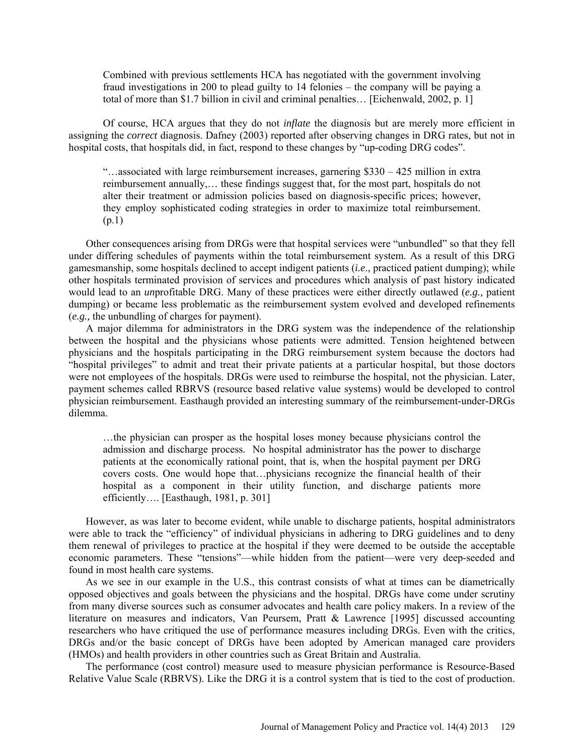Combined with previous settlements HCA has negotiated with the government involving fraud investigations in 200 to plead guilty to 14 felonies – the company will be paying a total of more than \$1.7 billion in civil and criminal penalties… [Eichenwald, 2002, p. 1]

Of course, HCA argues that they do not *inflate* the diagnosis but are merely more efficient in assigning the *correct* diagnosis. Dafney (2003) reported after observing changes in DRG rates, but not in hospital costs, that hospitals did, in fact, respond to these changes by "up-coding DRG codes".

"…associated with large reimbursement increases, garnering \$330 – 425 million in extra reimbursement annually,… these findings suggest that, for the most part, hospitals do not alter their treatment or admission policies based on diagnosis-specific prices; however, they employ sophisticated coding strategies in order to maximize total reimbursement. (p.1)

Other consequences arising from DRGs were that hospital services were "unbundled" so that they fell under differing schedules of payments within the total reimbursement system. As a result of this DRG gamesmanship, some hospitals declined to accept indigent patients (*i.e*., practiced patient dumping); while other hospitals terminated provision of services and procedures which analysis of past history indicated would lead to an *un*profitable DRG. Many of these practices were either directly outlawed (*e.g.,* patient dumping) or became less problematic as the reimbursement system evolved and developed refinements (*e.g.,* the unbundling of charges for payment).

A major dilemma for administrators in the DRG system was the independence of the relationship between the hospital and the physicians whose patients were admitted. Tension heightened between physicians and the hospitals participating in the DRG reimbursement system because the doctors had "hospital privileges" to admit and treat their private patients at a particular hospital, but those doctors were not employees of the hospitals. DRGs were used to reimburse the hospital, not the physician. Later, payment schemes called RBRVS (resource based relative value systems) would be developed to control physician reimbursement. Easthaugh provided an interesting summary of the reimbursement-under-DRGs dilemma.

…the physician can prosper as the hospital loses money because physicians control the admission and discharge process. No hospital administrator has the power to discharge patients at the economically rational point, that is, when the hospital payment per DRG covers costs. One would hope that…physicians recognize the financial health of their hospital as a component in their utility function, and discharge patients more efficiently…. [Easthaugh, 1981, p. 301]

However, as was later to become evident, while unable to discharge patients, hospital administrators were able to track the "efficiency" of individual physicians in adhering to DRG guidelines and to deny them renewal of privileges to practice at the hospital if they were deemed to be outside the acceptable economic parameters. These "tensions"—while hidden from the patient—were very deep-seeded and found in most health care systems.

As we see in our example in the U.S., this contrast consists of what at times can be diametrically opposed objectives and goals between the physicians and the hospital. DRGs have come under scrutiny from many diverse sources such as consumer advocates and health care policy makers. In a review of the literature on measures and indicators, Van Peursem, Pratt & Lawrence [1995] discussed accounting researchers who have critiqued the use of performance measures including DRGs. Even with the critics, DRGs and/or the basic concept of DRGs have been adopted by American managed care providers (HMOs) and health providers in other countries such as Great Britain and Australia.

The performance (cost control) measure used to measure physician performance is Resource-Based Relative Value Scale (RBRVS). Like the DRG it is a control system that is tied to the cost of production.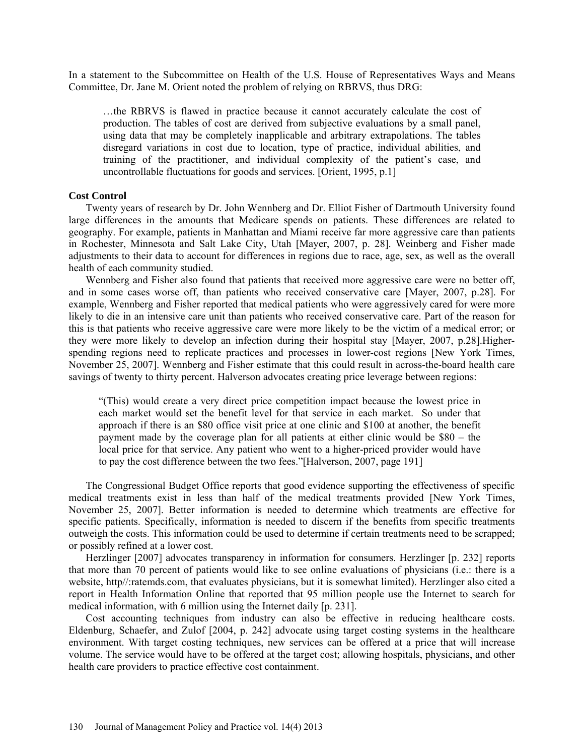In a statement to the Subcommittee on Health of the U.S. House of Representatives Ways and Means Committee, Dr. Jane M. Orient noted the problem of relying on RBRVS, thus DRG:

…the RBRVS is flawed in practice because it cannot accurately calculate the cost of production. The tables of cost are derived from subjective evaluations by a small panel, using data that may be completely inapplicable and arbitrary extrapolations. The tables disregard variations in cost due to location, type of practice, individual abilities, and training of the practitioner, and individual complexity of the patient's case, and uncontrollable fluctuations for goods and services. [Orient, 1995, p.1]

#### **Cost Control**

Twenty years of research by Dr. John Wennberg and Dr. Elliot Fisher of Dartmouth University found large differences in the amounts that Medicare spends on patients. These differences are related to geography. For example, patients in Manhattan and Miami receive far more aggressive care than patients in Rochester, Minnesota and Salt Lake City, Utah [Mayer, 2007, p. 28]. Weinberg and Fisher made adjustments to their data to account for differences in regions due to race, age, sex, as well as the overall health of each community studied.

Wennberg and Fisher also found that patients that received more aggressive care were no better off, and in some cases worse off, than patients who received conservative care [Mayer, 2007, p.28]. For example, Wennberg and Fisher reported that medical patients who were aggressively cared for were more likely to die in an intensive care unit than patients who received conservative care. Part of the reason for this is that patients who receive aggressive care were more likely to be the victim of a medical error; or they were more likely to develop an infection during their hospital stay [Mayer, 2007, p.28].Higherspending regions need to replicate practices and processes in lower-cost regions [New York Times, November 25, 2007]. Wennberg and Fisher estimate that this could result in across-the-board health care savings of twenty to thirty percent. Halverson advocates creating price leverage between regions:

"(This) would create a very direct price competition impact because the lowest price in each market would set the benefit level for that service in each market. So under that approach if there is an \$80 office visit price at one clinic and \$100 at another, the benefit payment made by the coverage plan for all patients at either clinic would be \$80 – the local price for that service. Any patient who went to a higher-priced provider would have to pay the cost difference between the two fees."[Halverson, 2007, page 191]

The Congressional Budget Office reports that good evidence supporting the effectiveness of specific medical treatments exist in less than half of the medical treatments provided [New York Times, November 25, 2007]. Better information is needed to determine which treatments are effective for specific patients. Specifically, information is needed to discern if the benefits from specific treatments outweigh the costs. This information could be used to determine if certain treatments need to be scrapped; or possibly refined at a lower cost.

Herzlinger [2007] advocates transparency in information for consumers. Herzlinger [p. 232] reports that more than 70 percent of patients would like to see online evaluations of physicians (i.e.: there is a website, http//:ratemds.com, that evaluates physicians, but it is somewhat limited). Herzlinger also cited a report in Health Information Online that reported that 95 million people use the Internet to search for medical information, with 6 million using the Internet daily [p. 231].

Cost accounting techniques from industry can also be effective in reducing healthcare costs. Eldenburg, Schaefer, and Zulof [2004, p. 242] advocate using target costing systems in the healthcare environment. With target costing techniques, new services can be offered at a price that will increase volume. The service would have to be offered at the target cost; allowing hospitals, physicians, and other health care providers to practice effective cost containment.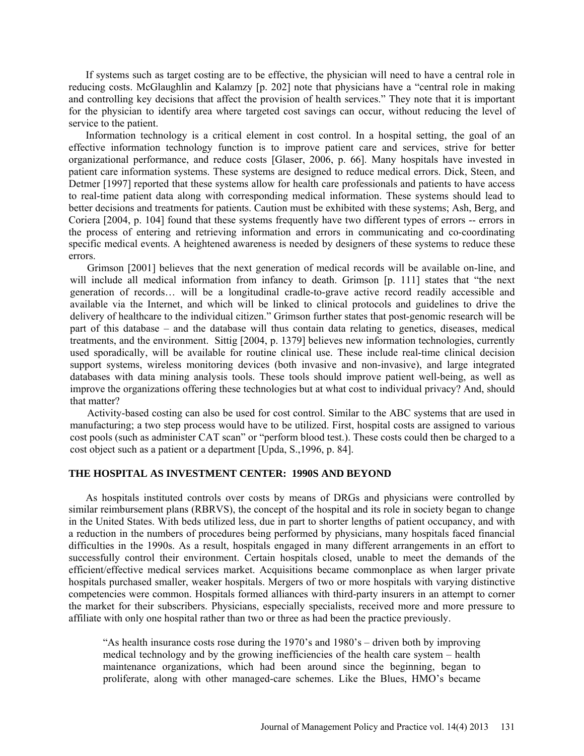If systems such as target costing are to be effective, the physician will need to have a central role in reducing costs. McGlaughlin and Kalamzy [p. 202] note that physicians have a "central role in making and controlling key decisions that affect the provision of health services." They note that it is important for the physician to identify area where targeted cost savings can occur, without reducing the level of service to the patient.

Information technology is a critical element in cost control. In a hospital setting, the goal of an effective information technology function is to improve patient care and services, strive for better organizational performance, and reduce costs [Glaser, 2006, p. 66]. Many hospitals have invested in patient care information systems. These systems are designed to reduce medical errors. Dick, Steen, and Detmer [1997] reported that these systems allow for health care professionals and patients to have access to real-time patient data along with corresponding medical information. These systems should lead to better decisions and treatments for patients. Caution must be exhibited with these systems; Ash, Berg, and Coriera [2004, p. 104] found that these systems frequently have two different types of errors -- errors in the process of entering and retrieving information and errors in communicating and co-coordinating specific medical events. A heightened awareness is needed by designers of these systems to reduce these errors.

Grimson [2001] believes that the next generation of medical records will be available on-line, and will include all medical information from infancy to death. Grimson [p. 111] states that "the next" generation of records… will be a longitudinal cradle-to-grave active record readily accessible and available via the Internet, and which will be linked to clinical protocols and guidelines to drive the delivery of healthcare to the individual citizen." Grimson further states that post-genomic research will be part of this database – and the database will thus contain data relating to genetics, diseases, medical treatments, and the environment. Sittig [2004, p. 1379] believes new information technologies, currently used sporadically, will be available for routine clinical use. These include real-time clinical decision support systems, wireless monitoring devices (both invasive and non-invasive), and large integrated databases with data mining analysis tools. These tools should improve patient well-being, as well as improve the organizations offering these technologies but at what cost to individual privacy? And, should that matter?

Activity-based costing can also be used for cost control. Similar to the ABC systems that are used in manufacturing; a two step process would have to be utilized. First, hospital costs are assigned to various cost pools (such as administer CAT scan" or "perform blood test.). These costs could then be charged to a cost object such as a patient or a department [Upda, S.,1996, p. 84].

### **THE HOSPITAL AS INVESTMENT CENTER: 1990S AND BEYOND**

As hospitals instituted controls over costs by means of DRGs and physicians were controlled by similar reimbursement plans (RBRVS), the concept of the hospital and its role in society began to change in the United States. With beds utilized less, due in part to shorter lengths of patient occupancy, and with a reduction in the numbers of procedures being performed by physicians, many hospitals faced financial difficulties in the 1990s. As a result, hospitals engaged in many different arrangements in an effort to successfully control their environment. Certain hospitals closed, unable to meet the demands of the efficient/effective medical services market. Acquisitions became commonplace as when larger private hospitals purchased smaller, weaker hospitals. Mergers of two or more hospitals with varying distinctive competencies were common. Hospitals formed alliances with third-party insurers in an attempt to corner the market for their subscribers. Physicians, especially specialists, received more and more pressure to affiliate with only one hospital rather than two or three as had been the practice previously.

"As health insurance costs rose during the 1970's and 1980's – driven both by improving medical technology and by the growing inefficiencies of the health care system – health maintenance organizations, which had been around since the beginning, began to proliferate, along with other managed-care schemes. Like the Blues, HMO's became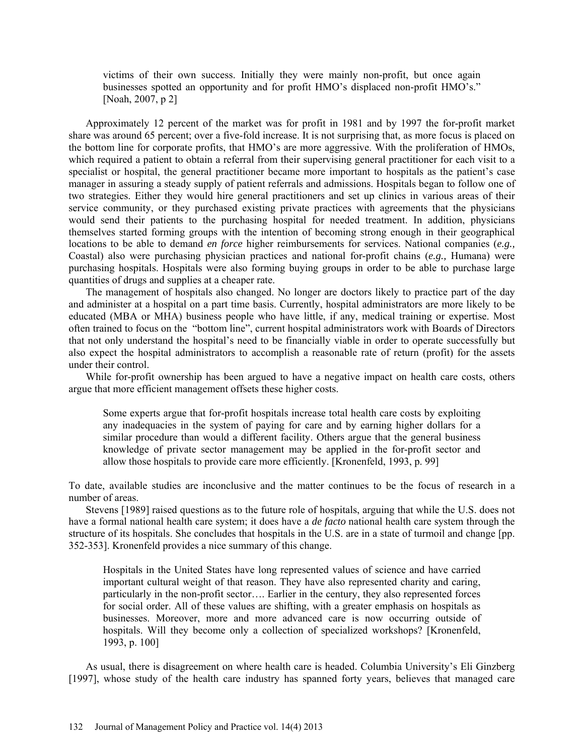victims of their own success. Initially they were mainly non-profit, but once again businesses spotted an opportunity and for profit HMO's displaced non-profit HMO's." [Noah, 2007, p 2]

Approximately 12 percent of the market was for profit in 1981 and by 1997 the for-profit market share was around 65 percent; over a five-fold increase. It is not surprising that, as more focus is placed on the bottom line for corporate profits, that HMO's are more aggressive. With the proliferation of HMOs, which required a patient to obtain a referral from their supervising general practitioner for each visit to a specialist or hospital, the general practitioner became more important to hospitals as the patient's case manager in assuring a steady supply of patient referrals and admissions. Hospitals began to follow one of two strategies. Either they would hire general practitioners and set up clinics in various areas of their service community, or they purchased existing private practices with agreements that the physicians would send their patients to the purchasing hospital for needed treatment. In addition, physicians themselves started forming groups with the intention of becoming strong enough in their geographical locations to be able to demand *en force* higher reimbursements for services. National companies (*e.g.,* Coastal) also were purchasing physician practices and national for-profit chains (*e.g.,* Humana) were purchasing hospitals. Hospitals were also forming buying groups in order to be able to purchase large quantities of drugs and supplies at a cheaper rate.

The management of hospitals also changed. No longer are doctors likely to practice part of the day and administer at a hospital on a part time basis. Currently, hospital administrators are more likely to be educated (MBA or MHA) business people who have little, if any, medical training or expertise. Most often trained to focus on the "bottom line", current hospital administrators work with Boards of Directors that not only understand the hospital's need to be financially viable in order to operate successfully but also expect the hospital administrators to accomplish a reasonable rate of return (profit) for the assets under their control.

While for-profit ownership has been argued to have a negative impact on health care costs, others argue that more efficient management offsets these higher costs.

Some experts argue that for-profit hospitals increase total health care costs by exploiting any inadequacies in the system of paying for care and by earning higher dollars for a similar procedure than would a different facility. Others argue that the general business knowledge of private sector management may be applied in the for-profit sector and allow those hospitals to provide care more efficiently. [Kronenfeld, 1993, p. 99]

To date, available studies are inconclusive and the matter continues to be the focus of research in a number of areas.

Stevens [1989] raised questions as to the future role of hospitals, arguing that while the U.S. does not have a formal national health care system; it does have a *de facto* national health care system through the structure of its hospitals. She concludes that hospitals in the U.S. are in a state of turmoil and change [pp. 352-353]. Kronenfeld provides a nice summary of this change.

Hospitals in the United States have long represented values of science and have carried important cultural weight of that reason. They have also represented charity and caring, particularly in the non-profit sector…. Earlier in the century, they also represented forces for social order. All of these values are shifting, with a greater emphasis on hospitals as businesses. Moreover, more and more advanced care is now occurring outside of hospitals. Will they become only a collection of specialized workshops? [Kronenfeld, 1993, p. 100]

As usual, there is disagreement on where health care is headed. Columbia University's Eli Ginzberg [1997], whose study of the health care industry has spanned forty years, believes that managed care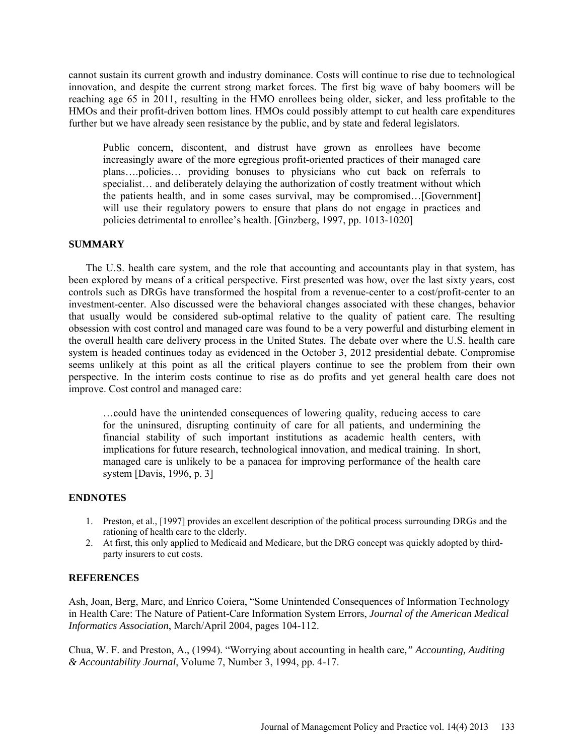cannot sustain its current growth and industry dominance. Costs will continue to rise due to technological innovation, and despite the current strong market forces. The first big wave of baby boomers will be reaching age 65 in 2011, resulting in the HMO enrollees being older, sicker, and less profitable to the HMOs and their profit-driven bottom lines. HMOs could possibly attempt to cut health care expenditures further but we have already seen resistance by the public, and by state and federal legislators.

Public concern, discontent, and distrust have grown as enrollees have become increasingly aware of the more egregious profit-oriented practices of their managed care plans….policies… providing bonuses to physicians who cut back on referrals to specialist... and deliberately delaying the authorization of costly treatment without which the patients health, and in some cases survival, may be compromised…[Government] will use their regulatory powers to ensure that plans do not engage in practices and policies detrimental to enrollee's health. [Ginzberg, 1997, pp. 1013-1020]

## **SUMMARY**

The U.S. health care system, and the role that accounting and accountants play in that system, has been explored by means of a critical perspective. First presented was how, over the last sixty years, cost controls such as DRGs have transformed the hospital from a revenue-center to a cost/profit-center to an investment-center. Also discussed were the behavioral changes associated with these changes, behavior that usually would be considered sub-optimal relative to the quality of patient care. The resulting obsession with cost control and managed care was found to be a very powerful and disturbing element in the overall health care delivery process in the United States. The debate over where the U.S. health care system is headed continues today as evidenced in the October 3, 2012 presidential debate. Compromise seems unlikely at this point as all the critical players continue to see the problem from their own perspective. In the interim costs continue to rise as do profits and yet general health care does not improve. Cost control and managed care:

…could have the unintended consequences of lowering quality, reducing access to care for the uninsured, disrupting continuity of care for all patients, and undermining the financial stability of such important institutions as academic health centers, with implications for future research, technological innovation, and medical training. In short, managed care is unlikely to be a panacea for improving performance of the health care system [Davis, 1996, p. 3]

#### **ENDNOTES**

- 1. Preston, et al., [1997] provides an excellent description of the political process surrounding DRGs and the rationing of health care to the elderly.
- 2. At first, this only applied to Medicaid and Medicare, but the DRG concept was quickly adopted by thirdparty insurers to cut costs.

### **REFERENCES**

Ash, Joan, Berg, Marc, and Enrico Coiera, "Some Unintended Consequences of Information Technology in Health Care: The Nature of Patient-Care Information System Errors, *Journal of the American Medical Informatics Association*, March/April 2004, pages 104-112.

Chua, W. F. and Preston, A., (1994). "Worrying about accounting in health care*," Accounting, Auditing & Accountability Journal*, Volume 7, Number 3, 1994, pp. 4-17.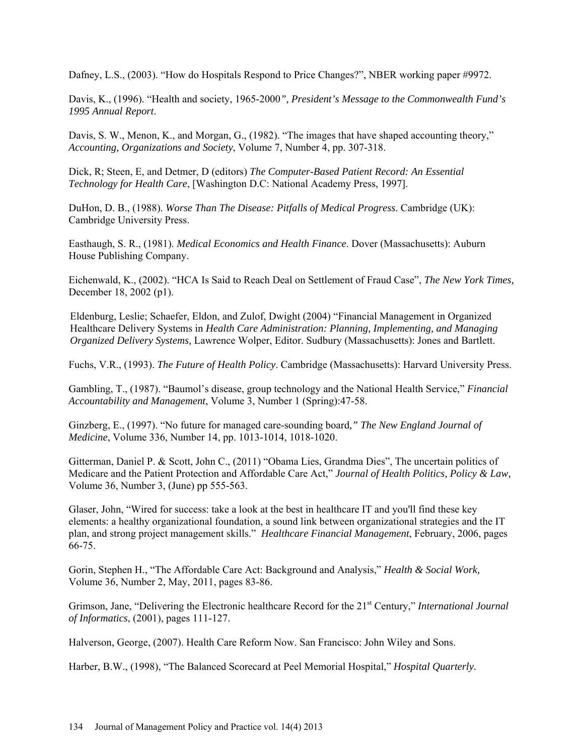Dafney, L.S., (2003). "How do Hospitals Respond to Price Changes?", NBER working paper #9972.

Davis, K., (1996). "Health and society, 1965-2000*", President's Message to the Commonwealth Fund's 1995 Annual Report*.

Davis, S. W., Menon, K., and Morgan, G., (1982). "The images that have shaped accounting theory," *Accounting, Organizations and Society*, Volume 7, Number 4, pp. 307-318.

Dick, R; Steen, E, and Detmer, D (editors) *The Computer-Based Patient Record: An Essential Technology for Health Care*, [Washington D.C: National Academy Press, 1997].

DuHon, D. B., (1988). *Worse Than The Disease: Pitfalls of Medical Progress*. Cambridge (UK): Cambridge University Press.

Easthaugh, S. R., (1981). *Medical Economics and Health Finance*. Dover (Massachusetts): Auburn House Publishing Company.

Eichenwald, K., (2002). "HCA Is Said to Reach Deal on Settlement of Fraud Case", *The New York Times,* December 18, 2002 (p1).

Eldenburg, Leslie; Schaefer, Eldon, and Zulof, Dwight (2004) "Financial Management in Organized Healthcare Delivery Systems in *Health Care Administration: Planning, Implementing, and Managing Organized Delivery Systems,* Lawrence Wolper, Editor. Sudbury (Massachusetts): Jones and Bartlett.

Fuchs, V.R., (1993). *The Future of Health Policy*. Cambridge (Massachusetts): Harvard University Press.

Gambling, T., (1987). "Baumol's disease, group technology and the National Health Service," *Financial Accountability and Management*, Volume 3, Number 1 (Spring):47-58.

Ginzberg, E., (1997). "No future for managed care-sounding board*," The New England Journal of Medicine*, Volume 336, Number 14, pp. 1013-1014, 1018-1020.

Gitterman, Daniel P. & Scott, John C., (2011) "Obama Lies, Grandma Dies", The uncertain politics of Medicare and the Patient Protection and Affordable Care Act," *Journal of Health Politics, Policy & Law,*  Volume 36, Number 3, (June) pp 555-563.

Glaser, John, "Wired for success: take a look at the best in healthcare IT and you'll find these key elements: a healthy organizational foundation, a sound link between organizational strategies and the IT plan, and strong project management skills." *Healthcare Financial Management*, February, 2006, pages 66-75.

Gorin, Stephen H., "The Affordable Care Act: Background and Analysis," *Health & Social Work,* Volume 36, Number 2, May, 2011, pages 83-86.

Grimson, Jane, "Delivering the Electronic healthcare Record for the 21<sup>st</sup> Century," *International Journal of Informatics*, (2001), pages 111-127.

Halverson, George, (2007). Health Care Reform Now. San Francisco: John Wiley and Sons.

Harber, B.W., (1998), "The Balanced Scorecard at Peel Memorial Hospital," *Hospital Quarterly*.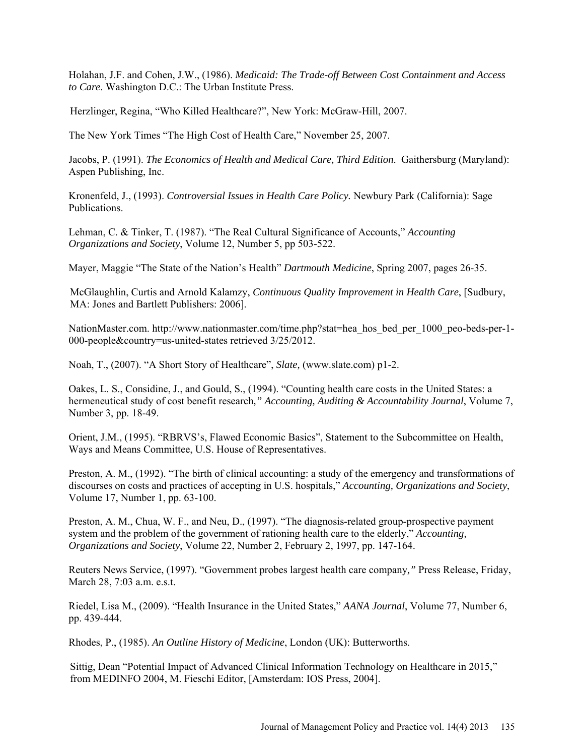Holahan, J.F. and Cohen, J.W., (1986). *Medicaid: The Trade-off Between Cost Containment and Access to Care*. Washington D.C.: The Urban Institute Press.

Herzlinger, Regina, "Who Killed Healthcare?", New York: McGraw-Hill, 2007.

The New York Times "The High Cost of Health Care," November 25, 2007.

Jacobs, P. (1991). *The Economics of Health and Medical Care, Third Edition*. Gaithersburg (Maryland): Aspen Publishing, Inc.

Kronenfeld, J., (1993). *Controversial Issues in Health Care Policy.* Newbury Park (California): Sage Publications.

Lehman, C. & Tinker, T. (1987). "The Real Cultural Significance of Accounts," *Accounting Organizations and Society*, Volume 12, Number 5, pp 503-522.

Mayer, Maggie "The State of the Nation's Health" *Dartmouth Medicine*, Spring 2007, pages 26-35.

McGlaughlin, Curtis and Arnold Kalamzy, *Continuous Quality Improvement in Health Care*, [Sudbury, MA: Jones and Bartlett Publishers: 2006].

NationMaster.com. [http://www.nationmaster.com/time.php?stat=hea\\_hos\\_bed\\_per\\_1000\\_peo-beds-per-1-](http://www.nationmaster.com/time.php?stat=hea_hos_bed_per_1000_peo-beds-per-1-000-people&country=us-united-states) [000-people&country=us-united-states](http://www.nationmaster.com/time.php?stat=hea_hos_bed_per_1000_peo-beds-per-1-000-people&country=us-united-states) retrieved 3/25/2012.

Noah, T., (2007). "A Short Story of Healthcare", *Slate,* [\(www.slate.com\)](http://www.slate.com/) p1-2.

Oakes, L. S., Considine, J., and Gould, S., (1994). "Counting health care costs in the United States: a hermeneutical study of cost benefit research*," Accounting, Auditing & Accountability Journal*, Volume 7, Number 3, pp. 18-49.

Orient, J.M., (1995). "RBRVS's, Flawed Economic Basics", Statement to the Subcommittee on Health, Ways and Means Committee, U.S. House of Representatives.

Preston, A. M., (1992). "The birth of clinical accounting: a study of the emergency and transformations of discourses on costs and practices of accepting in U.S. hospitals," *Accounting, Organizations and Society*, Volume 17, Number 1, pp. 63-100.

Preston, A. M., Chua, W. F., and Neu, D., (1997). "The diagnosis-related group-prospective payment system and the problem of the government of rationing health care to the elderly," *Accounting, Organizations and Society*, Volume 22, Number 2, February 2, 1997, pp. 147-164.

Reuters News Service, (1997). "Government probes largest health care company*,"* Press Release, Friday, March 28, 7:03 a.m. e.s.t.

Riedel, Lisa M., (2009). "Health Insurance in the United States," *AANA Journal*, Volume 77, Number 6, pp. 439-444.

Rhodes, P., (1985). *An Outline History of Medicine*, London (UK): Butterworths.

Sittig, Dean "Potential Impact of Advanced Clinical Information Technology on Healthcare in 2015," from MEDINFO 2004, M. Fieschi Editor, [Amsterdam: IOS Press, 2004].